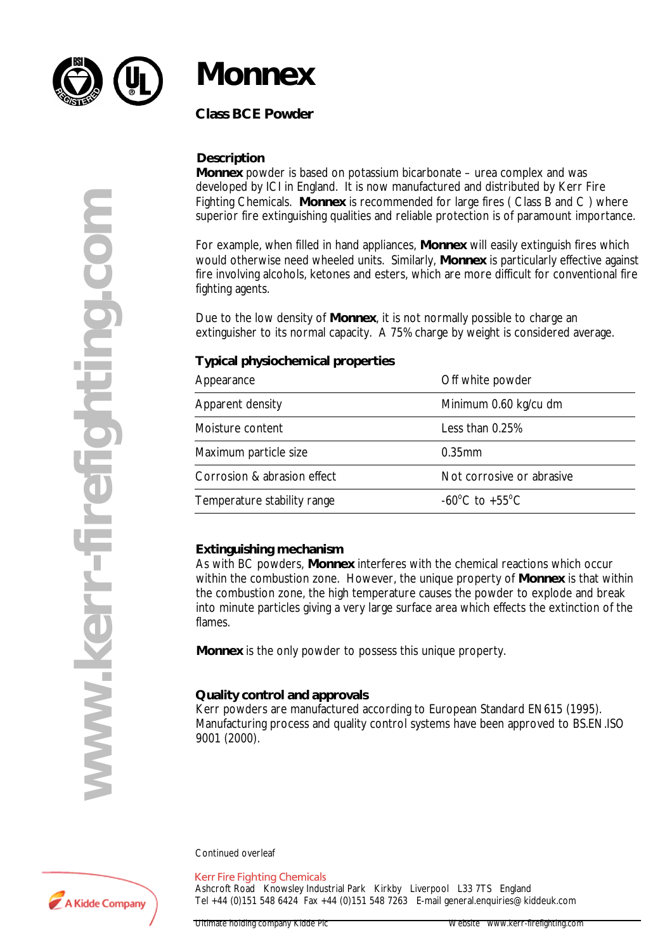

## **Monnex**

**Class BCE Powder**

### **Description**

**Monnex** powder is based on potassium bicarbonate – urea complex and was developed by ICI in England. It is now manufactured and distributed by Kerr Fire Fighting Chemicals. **Monnex** is recommended for large fires ( Class B and C ) where superior fire extinguishing qualities and reliable protection is of paramount importance.

For example, when filled in hand appliances, **Monnex** will easily extinguish fires which would otherwise need wheeled units. Similarly, **Monnex** is particularly effective against fire involving alcohols, ketones and esters, which are more difficult for conventional fire fighting agents.

Due to the low density of **Monnex**, it is not normally possible to charge an extinguisher to its normal capacity. A 75% charge by weight is considered average.

### **Typical physiochemical properties**

| Appearance                  | Off white powder                                     |
|-----------------------------|------------------------------------------------------|
| Apparent density            | Minimum 0.60 kg/cu dm                                |
| Moisture content            | Less than 0.25%                                      |
| Maximum particle size       | $0.35$ mm                                            |
| Corrosion & abrasion effect | Not corrosive or abrasive                            |
| Temperature stability range | -60 $\mathrm{^{\circ}C}$ to +55 $\mathrm{^{\circ}C}$ |

### **Extinguishing mechanism**

As with BC powders, **Monnex** interferes with the chemical reactions which occur within the combustion zone. However, the unique property of **Monnex** is that within the combustion zone, the high temperature causes the powder to explode and break into minute particles giving a very large surface area which effects the extinction of the flames.

**Monnex** is the only powder to possess this unique property.

### **Quality control and approvals**

Kerr powders are manufactured according to European Standard EN615 (1995). Manufacturing process and quality control systems have been approved to BS.EN.ISO 9001 (2000).

Continued overleaf

#### **Kerr Fire Fighting Chemicals**

Ashcroft Road Knowsley Industrial Park Kirkby Liverpool L33 7TS England Tel +44 (0)151 548 6424 Fax +44 (0)151 548 7263 E-mail general.enquiries@kiddeuk.com